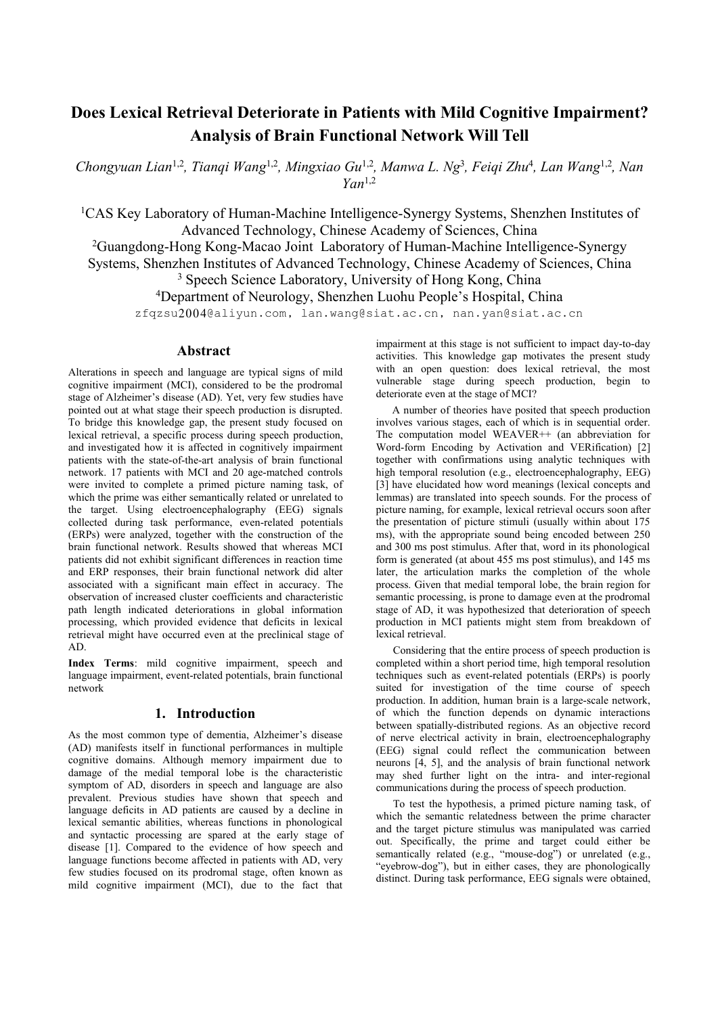# **Does Lexical Retrieval Deteriorate in Patients with Mild Cognitive Impairment? Analysis ofBrain Functional Network Will Tell**

Chongyuan Lian<sup>1,2</sup>, Tianqi Wang<sup>1,2</sup>, Mingxiao Gu<sup>1,2</sup>, Manwa L. Ng<sup>3</sup>, Feiqi Zhu<sup>4</sup>, Lan Wang<sup>1,2</sup>, Nan *Yan* 1,2

<sup>1</sup>CAS Key Laboratory of Human-Machine Intelligence-Synergy Systems, Shenzhen Institutes of Advanced Technology, Chinese Academy of Sciences, China

Guangdong-Hong Kong-Macao Joint Laboratory of Human-Machine Intelligence-Synergy Systems, Shenzhen Institutes of Advanced Technology, Chinese Academy of Sciences, China Speech Science Laboratory, University of Hong Kong, China Department of Neurology, Shenzhen Luohu People's Hospital, China

zfqzsu2004@aliyun.com, lan.wang@siat.ac.cn, nan.yan@siat.ac.cn

# **Abstract**

Alterations in speech and language are typical signs of mild cognitive impairment (MCI), considered to be the prodromal stage of Alzheimer's disease (AD). Yet, very few studies have pointed out at what stage their speech production is disrupted. To bridge this knowledge gap, the present study focused on lexical retrieval, a specific process during speech production, and investigated how it is affected in cognitively impairment patients with the state-of-the-art analysis of brain functional network. 17 patients with MCI and 20 age-matched controls were invited to complete a primed picture naming task, of which the prime was either semantically related or unrelated to the target. Using electroencephalography (EEG) signals collected during task performance, even-related potentials (ERPs) were analyzed, together with the construction of the brain functional network. Results showed that whereas MCI patients did not exhibit significant differences in reaction time and ERP responses, their brain functional network did alter associated with a significant main effect in accuracy. The observation of increased cluster coefficients and characteristic path length indicated deteriorations in global information processing, which provided evidence that deficits in lexical retrieval might have occurred even at the preclinical stage of AD.

**Index Terms**: mild cognitive impairment, speech and language impairment, event-related potentials, brain functional network

# **1. Introduction**

As the most common type of dementia, Alzheimer's disease (AD) manifests itself in functional performances in multiple cognitive domains. Although memory impairment due to damage of the medial temporal lobe is the characteristic symptom of AD, disorders in speech and language are also prevalent. Previous studies have shown that speech and language deficits in AD patients are caused by a decline in lexical semantic abilities, whereas functions in phonological and syntactic processing are spared at the early stage of disease [1]. Compared to the evidence of how speech and language functions become affected in patients with AD, very few studies focused on its prodromal stage, often known as mild cognitive impairment (MCI), due to the fact that impairment at this stage is not sufficient to impact day-to-day activities. This knowledge gap motivates the present study with an open question: does lexical retrieval, the most vulnerable stage during speech production, begin to deteriorate even at the stage of MCI?

A number of theories have posited that speech production involves various stages, each of which is in sequential order. The computation model WEAVER++ (an abbreviation for Word-form Encoding by Activation and VERification) [2] together with confirmations using analytic techniques with high temporal resolution (e.g., electroencephalography, EEG) [3] have elucidated how word meanings (lexical concepts and lemmas) are translated into speech sounds. For the process of picture naming, for example, lexical retrieval occurs soon after the presentation of picture stimuli (usually within about 175 ms), with the appropriate sound being encoded between 250 and 300 ms post stimulus. After that, word in its phonological form is generated (at about 455 ms post stimulus), and  $145$  ms later, the articulation marks the completion of the whole process. Given that medial temporal lobe, the brain region for semantic processing, is prone to damage even at the prodromal stage of AD, it was hypothesized that deterioration of speech production in MCI patients might stem from breakdown of lexical retrieval.

Considering that the entire process of speech production is completed within a short period time, high temporal resolution techniques such as event-related potentials (ERPs) is poorly suited for investigation of the time course of speech production. In addition, human brain is a large-scale network, of which the function depends on dynamic interactions between spatially-distributed regions. As an objective record of nerve electrical activity in brain, electroencephalography (EEG) signal could reflect the communication between neurons [4, 5], and the analysis of brain functional network may shed further light on the intra- and inter-regional communications during the process of speech production.

To test the hypothesis, a primed picture naming task, of which the semantic relatedness between the prime character and the target picture stimulus was manipulated was carried out. Specifically, the prime and target could either be semantically related (e.g., "mouse-dog") or unrelated (e.g., "eyebrow-dog"), but in either cases, they are phonologically distinct. During task performance, EEG signals were obtained,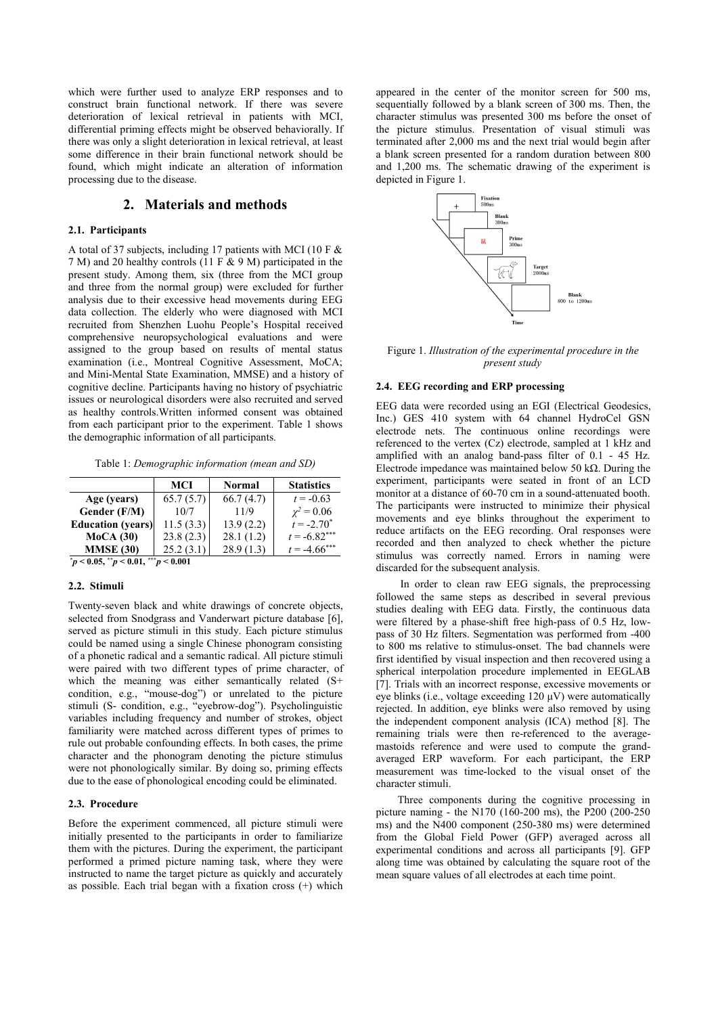which were further used to analyze ERP responses and to construct brain functional network. If there was severe deterioration of lexical retrieval in patients with MCI, differential priming effects might be observed behaviorally. If there was only a slight deterioration in lexical retrieval, at least some difference in their brain functional network should be found, which might indicate an alteration of information processing due to the disease.

# **2. Materials and methods**

#### **2.1. Participants**

A total of 37 subjects, including 17 patients with MCI (10 F & 7 M) and 20 healthy controls (11 F & 9 M) participated in the present study. Among them, six (three from the MCI group and three from the normal group) were excluded for further analysis due to their excessive head movements during EEG data collection. The elderly who were diagnosed with MCI recruited from Shenzhen Luohu People's Hospital received comprehensive neuropsychological evaluations and were assigned to the group based on results of mental status examination (i.e., Montreal Cognitive Assessment, MoCA; and Mini-Mental State Examination, MMSE) and a history of cognitive decline. Participants having no history of psychiatric issues or neurological disorders were also recruited and served as healthy controls.Written informed consent was obtained from each participant prior to the experiment. Table 1 shows the demographic information of all participants.

Table 1: *Demographic information (mean and SD)*

|                                                   | MCI       | Normal    | <b>Statistics</b> | experiment,                                                                                   |
|---------------------------------------------------|-----------|-----------|-------------------|-----------------------------------------------------------------------------------------------|
| Age (years)                                       | 65.7(5.7) | 66.7(4.7) | $t = -0.63$       | monitor at a<br>The participa<br>movements<br>reduce artifa<br>recorded and<br>stimulus<br>wa |
| Gender (F/M)                                      | 10/7      | 11/9      | $\chi^2 = 0.06$   |                                                                                               |
| <b>Education</b> (years)                          | 11.5(3.3) | 13.9(2.2) | $t = -2.70^*$     |                                                                                               |
| MoCA(30)                                          | 23.8(2.3) | 28.1(1.2) | $t = -6.82***$    |                                                                                               |
| <b>MMSE</b> (30)                                  | 25.2(3.1) | 28.9(1.3) | $t = -4.66$ ***   |                                                                                               |
| $p^* p < 0.05$ , $p^* p < 0.01$ , $p^* p < 0.001$ |           |           |                   | $1' = 1 10$                                                                                   |

# **2.2. Stimuli**

Twenty-seven black and white drawings of concrete objects, selected from Snodgrass and Vanderwart picture database [6], served as picture stimuli in this study. Each picture stimulus could be named using a single Chinese phonogram consisting of a phonetic radical and a semantic radical. All picture stimuli were paired with two different types of prime character, of which the meaning was either semantically related  $(S^+)$ condition, e.g., "mouse-dog") or unrelated to the picture stimuli (S- condition, e.g., "eyebrow-dog"). Psycholinguistic variables including frequency and number of strokes, object familiarity were matched across different types of primes to rule out probable confounding effects. In both cases, the prime character and the phonogram denoting the picture stimulus were not phonologically similar. By doing so, priming effects due to the ease of phonological encoding could be eliminated.

#### **2.3. Procedure**

Before the experiment commenced, all picture stimuli were initially presented to the participants in order to familiarize them with the pictures. During the experiment, the participant performed a primed picture naming task, where they were instructed to name the target picture as quickly and accurately as possible. Each trial began with a fixation cross (+) which appeared in the center of the monitor screen for 500 ms, sequentially followed by a blank screen of 300 ms. Then, the character stimulus was presented 300 ms before the onset of the picture stimulus. Presentation of visual stimuli was terminated after 2,000 ms and the next trial would begin after a blank screen presented for a random duration between 800 and 1,200 ms. The schematic drawing of the experiment is depicted in Figure 1.



Figure 1. *Illustration of the experimental procedure in the present study*

#### **2.4. EEG recording and ERP processing**

 $\alpha$  2 = 0.06 <br>= -2.70<sup>\*</sup> movements and eye blinks throughout the experiment to  $*$  reduce artifacts on the EEG recording. Oral responses were \*\*\* recorded and then analyzed to check whether the picture EEG data were recorded using an EGI (Electrical Geodesics, Inc.) GES 410 system with 64 channel HydroCel GSN electrode nets. The continuous online recordings were referenced to the vertex (Cz) electrode, sampled at 1 kHz and amplified with an analog band-pass filter of 0.1 - 45 Hz. Electrode impedance was maintained below 50 kΩ. During the experiment, participants were seated in front of an LCD monitor ata distance of 60-70 cm in a sound-attenuated booth. The participants were instructed to minimize their physical stimulus was correctly named. Errors in naming were discarded for the subsequent analysis.

> In order to clean raw EEG signals, the preprocessing followed the same steps as described in several previous studies dealing with EEG data. Firstly, the continuous data were filtered by a phase-shift free high-pass of 0.5 Hz, low pass of 30 Hz filters. Segmentation was performed from -400 to 800 ms relative to stimulus-onset. The bad channels were first identified by visual inspection and then recovered using a spherical interpolation procedure implemented in EEGLAB [7]. Trials with an incorrect response, excessive movements or eye blinks (i.e., voltage exceeding  $120 \mu V$ ) were automatically rejected. In addition, eye blinks were also removed by using the independent component analysis (ICA) method [8]. The remaining trials were then re-referenced to the average mastoids reference and were used to compute the grand averaged ERP waveform. For each participant, the ERP measurement was time-locked to the visual onset of the character stimuli.

> Three components during the cognitive processing in picture naming - the N170 (160-200 ms), the P200 (200-250 ms) and the N400 component (250-380 ms) were determined from the Global Field Power (GFP) averaged across all experimental conditions and across all participants [9]. GFP along time was obtained by calculating the square root of the mean square values of all electrodes at each time point.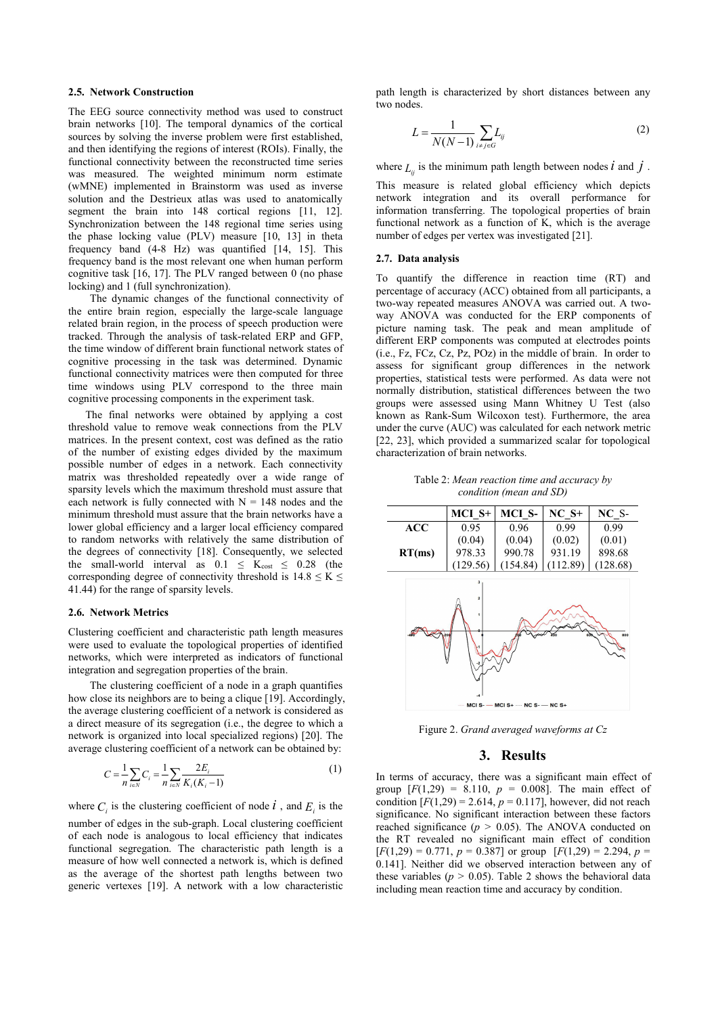#### **2.5. Network Construction**

The EEG source connectivity method was used to construct brain networks [10]. The temporal dynamics of the cortical sources by solving the inverse problem were first established, and then identifying the regions of interest (ROIs). Finally, the functional connectivity between the reconstructed time series was measured. The weighted minimum norm estimate (wMNE) implemented in Brainstorm was used as inverse solution and the Destrieux atlas was used to anatomically segment the brain into 148 cortical regions [11, 12]. Synchronization between the 148 regional time series using the phase locking value (PLV) measure [10, 13] in theta frequency band (4-8 Hz) was quantified [14, 15]. This frequency band is the most relevant one when human perform cognitive task [16, 17]. The PLV ranged between 0 (no phase locking) and 1 (full synchronization).

The dynamic changes of the functional connectivity of the entire brain region, especially the large-scale language related brain region, in the process of speech production were tracked. Through the analysis of task-related ERP and GFP, the time window of different brain functional network states of cognitive processing in the task was determined. Dynamic functional connectivity matrices were then computed for three time windows using PLV correspond to the three main cognitive processing components in the experiment task.

The final networks were obtained by applying a cost threshold value to remove weak connections from the PLV matrices. In the present context, cost was defined as the ratio of the number of existing edges divided by the maximum possible number of edges in a network. Each connectivity matrix was thresholded repeatedly over a wide range of sparsity levels which the maximum threshold must assure that each network is fully connected with  $N = 148$  nodes and the minimum threshold must assure that the brain networks have a lower global efficiency and a larger local efficiency compared to random networks with relatively the same distribution of the degrees of connectivity [18]. Consequently, we selected the small-world interval as  $0.1 \leq K_{cost} \leq 0.28$  (the corresponding degree of connectivity threshold is  $14.8 \le K \le$ 41.44) for the range of sparsity levels.

#### **2.6. Network Metrics**

Clustering coefficient and characteristic path length measures were used to evaluate the topological properties of identified networks, which were interpreted as indicators of functional integration and segregation properties of the brain.

The clustering coefficient of a node in a graph quantifies how close its neighbors are to being a clique [19]. Accordingly, the average clustering coefficient of a network is considered as a direct measure of its segregation (i.e., the degree to which a network is organized into local specialized regions) [20]. The average clustering coefficient of a network can be obtained by:

$$
C = \frac{1}{n} \sum_{i \in N} C_i = \frac{1}{n} \sum_{i \in N} \frac{2E_i}{K_i(K_i - 1)}
$$
 (1) In terms of accuracy, there was a significant main effect of

where  $C_i$  is the clustering coefficient of node  $i$ , and  $E_i$  is the condition number of edges in the sub-graph. Local clustering coefficient of each node is analogous to local efficiency that indicates functional segregation. The characteristic path length is a measure of how well connected a network is, which is defined as the average of the shortest path lengths between two generic vertexes [19]. A network with a low characteristic

path length is characterized by short distances between any two nodes.

$$
L = \frac{1}{N(N-1)} \sum_{i \neq j \in G} L_{ij}
$$
 (2)

where  $L_{ij}$  is the minimum path length between nodes  $i$  and  $j$ .

This measure is related global efficiency which depicts network integration and its overall performance for information transferring. The topological properties of brain functional network as a function of K, which is the average number of edges per vertex was investigated [21].

#### **2.7. Data analysis**

To quantify the difference in reaction time (RT) and percentage of accuracy (ACC) obtained from all participants, a two-way repeated measures ANOVA was carried out. A two way ANOVA was conducted for the ERP components of picture naming task. The peak and mean amplitude of different ERP components was computed at electrodes points  $(i.e., Fz, FCz, Cz, Pz, POz)$  in the middle of brain. In order to assess for significant group differences in the network properties, statistical tests were performed. As data were not normally distribution, statistical differences between the two groups were assessed using Mann Whitney U Test (also known as Rank-Sum Wilcoxon test). Furthermore, the area under the curve (AUC) was calculated for each network metric [22, 23], which provided a summarized scalar for topological characterization of brain networks.

Table 2: *Mean reaction time and accuracy by condition (mean and SD)*



Figure 2. *Grand averaged waveforms at Cz*

## **3. Results**

is the condition  $[F(1,29) = 2.614, p = 0.117]$ , however, did not reach group  $[F(1,29) = 8.110, p = 0.008]$ . The main effect of significance. No significant interaction between these factors reached significance (*p >* 0.05). The ANOVA conducted on the RT revealed no significant main effect of condition  $[F(1,29) = 0.771, p = 0.387]$  or group  $[F(1,29) = 2.294, p =$ 0.141]. Neither did we observed interaction between any of these variables ( $p > 0.05$ ). Table 2 shows the behavioral data including mean reaction time and accuracy by condition.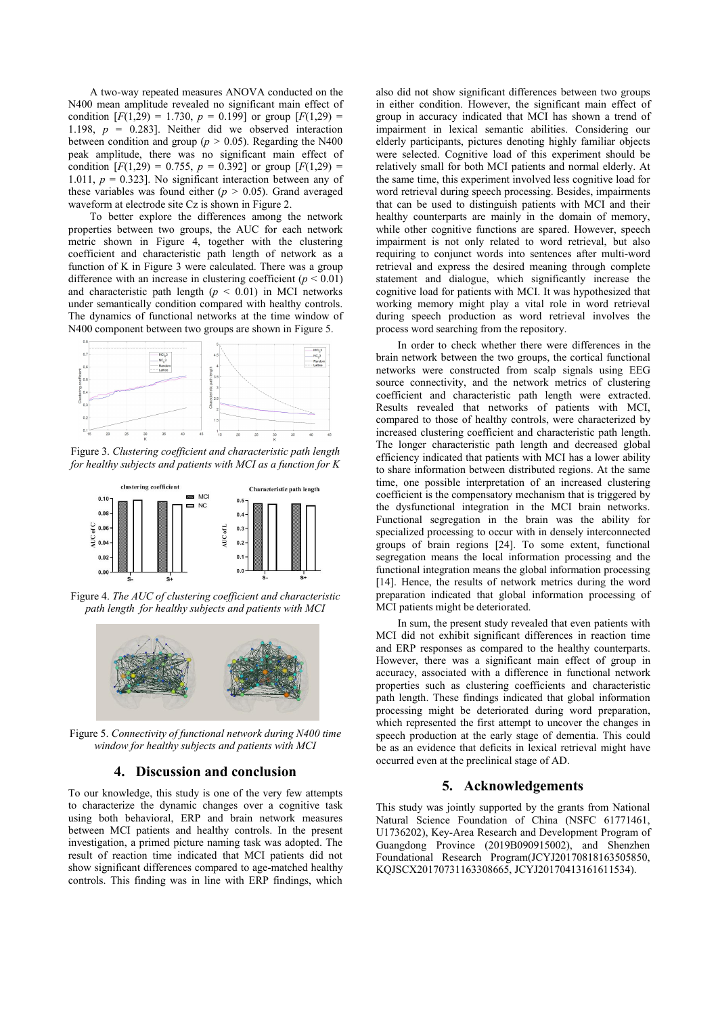A two-way repeated measures ANOVA conducted on the N400 mean amplitude revealed no significant main effect of condition  $[F(1,29) = 1.730, p = 0.199]$  or group  $[F(1,29) =$ 1.198,  $p = 0.283$ ]. Neither did we observed interaction between condition and group ( $p > 0.05$ ). Regarding the N400 peak amplitude, there was no significant main effect of condition  $[F(1,29) = 0.755, p = 0.392]$  or group  $[F(1,29) =$ 1.011,  $p = 0.323$ . No significant interaction between any of these variables was found either  $(p > 0.05)$ . Grand averaged waveform at electrode site Cz is shown in Figure 2.

To better explore the differences among the network properties between two groups, the AUC for each network metric shown in Figure 4, together with the clustering coefficient and characteristic path length of network as a function of K in Figure 3 were calculated. There was a group difference with an increase in clustering coefficient  $(p < 0.01)$ and characteristic path length  $(p < 0.01)$  in MCI networks under semantically condition compared with healthy controls. The dynamics of functional networks at the time window of N400 component between two groups are shown in Figure 5.



Figure 3. *Clustering coef icient and characteristic path length for healthy subjects and patients with MCI as a function for K*



Figure 4. *The AUC of clustering coef icient and characteristic path length for healthy subjects and patients with MCI*



Figure 5. *Connectivity of functional network during N400 time window for healthy subjects and patients with MCI*

# **4. Discussion and conclusion**

To our knowledge, this study is one of the very few attempts to characterize the dynamic changes over a cognitive task using both behavioral, ERP and brain network measures between MCI patients and healthy controls. In the present investigation, a primed picture naming task was adopted. The result of reaction time indicated that MCI patients did not show significant differences compared to age-matched healthy controls. This finding was in line with ERP findings, which also did not show significant differences between two groups in either condition. However, the significant main effect of group in accuracy indicated that MCI has shown a trend of impairment in lexical semantic abilities. Considering our elderly participants, pictures denoting highly familiar objects were selected. Cognitive load of this experiment should be relatively small for both MCI patients and normal elderly. At the same time, this experiment involved less cognitive load for word retrieval during speech processing. Besides, impairments that can be used to distinguish patients with MCI and their healthy counterparts are mainly in the domain of memory, while other cognitive functions are spared. However, speech impairment is not only related to word retrieval, but also requiring to conjunct words into sentences after multi-word retrieval and express the desired meaning through complete statement and dialogue, which significantly increase the cognitive load for patients with MCI. It was hypothesized that working memory might play a vital role in word retrieval during speech production as word retrieval involves the process word searching from the repository.

In order to check whether there were differences in the brain network between the two groups, the cortical functional networks were constructed from scalp signals using EEG source connectivity, and the network metrics of clustering coefficient and characteristic path length were extracted. Results revealed that networks of patients with MCI, compared to those of healthy controls, were characterized by increased clustering coefficient and characteristic path length. The longer characteristic path length and decreased global efficiency indicated that patients with MCI has a lower ability to share information between distributed regions. At the same time, one possible interpretation of an increased clustering coefficient is the compensatory mechanism that is triggered by the dysfunctional integration in the MCI brain networks. Functional segregation in the brain was the ability for specialized processing to occur with in densely interconnected groups of brain regions [24]. To some extent, functional segregation means the local information processing and the functional integration means the global information processing [14]. Hence, the results of network metrics during the word preparation indicated that global information processing of MCI patients might be deteriorated.

In sum, the present study revealed that even patients with MCI did not exhibit significant differences in reaction time and ERP responses as compared to the healthy counterparts. However, there was a significant main effect of group in accuracy, associated with a difference in functional network properties such as clustering coefficients and characteristic path length. These findings indicated that global information processing might be deteriorated during word preparation, which represented the first attempt to uncover the changes in speech production at the early stage of dementia. This could be as an evidence that deficits in lexical retrieval might have occurred even at the preclinical stage of AD.

# **5. Acknowledgements**

This study was jointly supported by the grants from National Natural Science Foundation of China (NSFC 61771461, U1736202), Key-Area Research and Development Program of Guangdong Province (2019B090915002), and Shenzhen Foundational Research Program(JCYJ20170818163505850, KQJSCX20170731163308665, JCYJ20170413161611534).